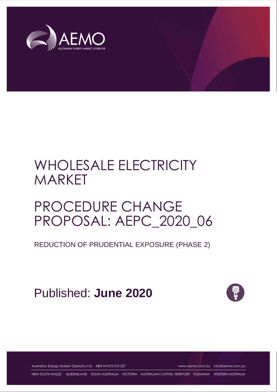

# WHOLESALE ELECTRICITY MARKET

# PROCEDURE CHANGE PROPOSAL: AEPC\_2020\_06

REDUCTION OF PRUDENTIAL EXPOSURE (PHASE 2)

Published: **June 2020**



Australian Energy Market Operator Ltd ABN 94 072 010 327 [www.aemo.com.au](http://www.aemo.com.au/) [info@aemo.com.au](mailto:info@aemo.com.au)

NEW SOUTH WALES QUEENSLAND SOUTH AUSTRALIA VICTORIA AUSTRALIAN CAPITAL TERRITORY TASMANIA WESTERN AUSTRALIA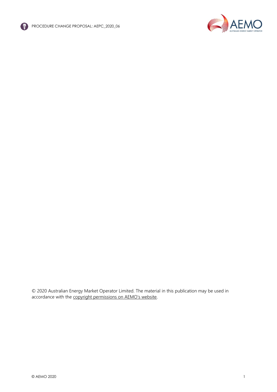



© 2020 Australian Energy Market Operator Limited. The material in this publication may be used in accordance with the [copyright permissions on AEMO's website](http://aemo.com.au/Privacy_and_Legal_Notices/Copyright_Permissions_Notice).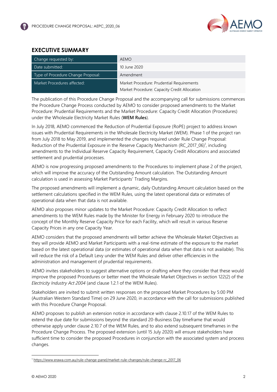

## <span id="page-2-0"></span>**EXECUTIVE SUMMARY**

| Change requested by:               | <b>AEMO</b>                                  |
|------------------------------------|----------------------------------------------|
| Date submitted:                    | 10 June 2020                                 |
| Type of Procedure Change Proposal: | Amendment                                    |
| Market Procedures affected:        | Market Procedure: Prudential Requirements    |
|                                    | Market Procedure: Capacity Credit Allocation |

The publication of this Procedure Change Proposal and the accompanying call for submissions commences the Procedure Change Process conducted by AEMO to consider proposed amendments to the Market Procedure: Prudential Requirements and the Market Procedure: Capacity Credit Allocation (Procedures) under the Wholesale Electricity Market Rules (**WEM Rules**).

In July 2018, AEMO commenced the Reduction of Prudential Exposure (RoPE) project to address known issues with Prudential Requirements in the Wholesale Electricity Market (WEM). Phase 1 of the project ran from July 2018 to May 2019, and implemented the changes required under Rule Change Proposal: Reduction of the Prudential Exposure in the Reserve Capacity Mechanism (RC\_2017\_06)<sup>1</sup>, including amendments to the Individual Reserve Capacity Requirement, Capacity Credit Allocations and associated settlement and prudential processes.

AEMO is now progressing proposed amendments to the Procedures to implement phase 2 of the project, which will improve the accuracy of the Outstanding Amount calculation. The Outstanding Amount calculation is used in assessing Market Participants' Trading Margins.

The proposed amendments will implement a dynamic, daily Outstanding Amount calculation based on the settlement calculations specified in the WEM Rules, using the latest operational data or estimates of operational data when that data is not available.

AEMO also proposes minor updates to the Market Procedure: Capacity Credit Allocation to reflect amendments to the WEM Rules made by the Minister for Energy in February 2020 to introduce the concept of the Monthly Reserve Capacity Price for each Facility, which will result in various Reserve Capacity Prices in any one Capacity Year.

AEMO considers that the proposed amendments will better achieve the Wholesale Market Objectives as they will provide AEMO and Market Participants with a real-time estimate of the exposure to the market based on the latest operational data (or estimates of operational data when that data is not available). This will reduce the risk of a Default Levy under the WEM Rules and deliver other efficiencies in the administration and management of prudential requirements.

AEMO invites stakeholders to suggest alternative options or drafting where they consider that these would improve the proposed Procedures or better meet the Wholesale Market Objectives in section 122(2) of the *Electricity Industry Act 2004* (and clause 1.2.1 of the WEM Rules).

Stakeholders are invited to submit written responses on the proposed Market Procedures by 5:00 PM (Australian Western Standard Time) on 29 June 2020, in accordance with the call for submissions published with this Procedure Change Proposal.

AEMO proposes to publish an extension notice in accordance with clause 2.10.17 of the WEM Rules to extend the due date for submissions beyond the standard 20-Business Day timeframe that would otherwise apply under clause 2.10.7 of the WEM Rules, and to also extend subsequent timeframes in the Procedure Change Process. The proposed extension (until 15 July 2020) will ensure stakeholders have sufficient time to consider the proposed Procedures in conjunction with the associated system and process changes.

<sup>1</sup> [https://www.erawa.com.au/rule-change-panel/market-rule-changes/rule-change-rc\\_2017\\_06](https://www.erawa.com.au/rule-change-panel/market-rule-changes/rule-change-rc_2017_06)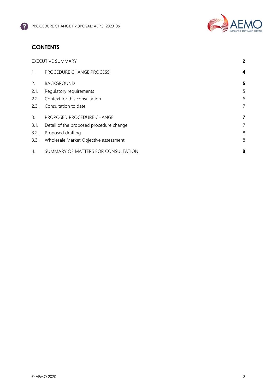

# **CONTENTS**

|             | <b>EXECUTIVE SUMMARY</b>                |   |
|-------------|-----------------------------------------|---|
| $1_{\cdot}$ | PROCEDURE CHANGE PROCESS                | 4 |
| 2.          | <b>BACKGROUND</b>                       | 5 |
| 2.1.        | Regulatory requirements                 | 5 |
| 2.2.        | Context for this consultation           | 6 |
| 2.3.        | Consultation to date                    | 7 |
| 3.          | PROPOSED PROCEDURE CHANGE               | 7 |
| 3.1.        | Detail of the proposed procedure change | 7 |
| 3.2.        | Proposed drafting                       | 8 |
| 3.3.        | Wholesale Market Objective assessment   | 8 |
| 4.          | SUMMARY OF MATTERS FOR CONSULTATION     | 8 |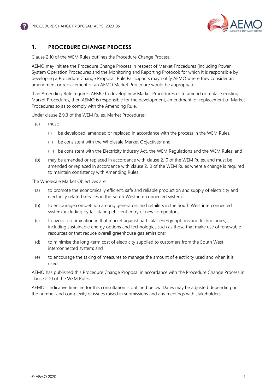

## <span id="page-4-0"></span>**1. PROCEDURE CHANGE PROCESS**

Clause 2.10 of the WEM Rules outlines the Procedure Change Process.

AEMO may initiate the Procedure Change Process in respect of Market Procedures (including Power System Operation Procedures and the Monitoring and Reporting Protocol) for which it is responsible by developing a Procedure Change Proposal. Rule Participants may notify AEMO where they consider an amendment or replacement of an AEMO Market Procedure would be appropriate.

If an Amending Rule requires AEMO to develop new Market Procedures or to amend or replace existing Market Procedures, then AEMO is responsible for the development, amendment, or replacement of Market Procedures so as to comply with the Amending Rule.

Under clause 2.9.3 of the WEM Rules, Market Procedures:

- (a) must:
	- (i) be developed, amended or replaced in accordance with the process in the WEM Rules;
	- (ii) be consistent with the Wholesale Market Objectives; and
	- (iii) be consistent with the Electricity Industry Act, the WEM Regulations and the WEM Rules; and
- (b) may be amended or replaced in accordance with clause 2.10 of the WEM Rules, and must be amended or replaced in accordance with clause 2.10 of the WEM Rules where a change is required to maintain consistency with Amending Rules.

The Wholesale Market Objectives are:

- (a) to promote the economically efficient, safe and reliable production and supply of electricity and electricity related services in the South West interconnected system;
- (b) to encourage competition among generators and retailers in the South West interconnected system, including by facilitating efficient entry of new competitors;
- (c) to avoid discrimination in that market against particular energy options and technologies, including sustainable energy options and technologies such as those that make use of renewable resources or that reduce overall greenhouse gas emissions;
- (d) to minimise the long-term cost of electricity supplied to customers from the South West interconnected system; and
- (e) to encourage the taking of measures to manage the amount of electricity used and when it is used.

AEMO has published this Procedure Change Proposal in accordance with the Procedure Change Process in clause 2.10 of the WEM Rules.

AEMO's indicative timeline for this consultation is outlined below. Dates may be adjusted depending on the number and complexity of issues raised in submissions and any meetings with stakeholders.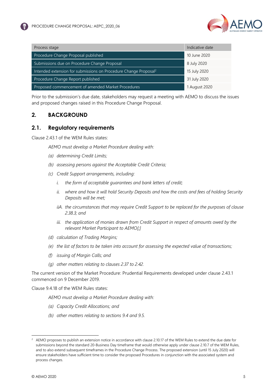| Process stage                                                                | Indicative date |
|------------------------------------------------------------------------------|-----------------|
| Procedure Change Proposal published                                          | 10 June 2020    |
| Submissions due on Procedure Change Proposal                                 | 8 July 2020     |
| Intended extension for submissions on Procedure Change Proposal <sup>2</sup> | 15 July 2020    |
| Procedure Change Report published                                            | 31 July 2020    |
| Proposed commencement of amended Market Procedures                           | 1 August 2020   |

Prior to the submission's due date, stakeholders may request a meeting with AEMO to discuss the issues and proposed changes raised in this Procedure Change Proposal.

#### <span id="page-5-0"></span>**2. BACKGROUND**

#### <span id="page-5-1"></span>**2.1. Regulatory requirements**

Clause 2.43.1 of the WEM Rules states:

*AEMO must develop a Market Procedure dealing with:* 

- *(a) determining Credit Limits;*
- *(b) assessing persons against the Acceptable Credit Criteria;*
- *(c) Credit Support arrangements, including:* 
	- *i. the form of acceptable guarantees and bank letters of credit;*
	- *ii. where and how it will hold Security Deposits and how the costs and fees of holding Security Deposits will be met;*
	- *iiA. the circumstances that may require Credit Support to be replaced for the purposes of clause 2.38.3; and*
	- *iii. the application of monies drawn from Credit Support in respect of amounts owed by the relevant Market Participant to AEMO[;]*
- *(d) calculation of Trading Margins;*
- *(e) the list of factors to be taken into account for assessing the expected value of transactions;*
- *(f) issuing of Margin Calls; and*
- *(g) other matters relating to clauses 2.37 to 2.42.*

The current version of the Market Procedure: Prudential Requirements developed under clause 2.43.1 commenced on 9 December 2019.

Clause 9.4.18 of the WEM Rules states:

*AEMO must develop a Market Procedure dealing with:* 

- *(a) Capacity Credit Allocations; and*
- *(b) other matters relating to sections 9.4 and 9.5.*

 $2$  AEMO proposes to publish an extension notice in accordance with clause 2.10.17 of the WEM Rules to extend the due date for submissions beyond the standard 20-Business Day timeframe that would otherwise apply under clause 2.10.7 of the WEM Rules, and to also extend subsequent timeframes in the Procedure Change Process. The proposed extension (until 15 July 2020) will ensure stakeholders have sufficient time to consider the proposed Procedures in conjunction with the associated system and process changes.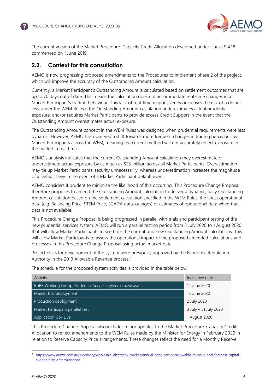

The current version of the Market Procedure: Capacity Credit Allocation developed under clause 9.4.18 commenced on 1 June 2019.

#### <span id="page-6-0"></span>**2.2. Context for this consultation**

AEMO is now progressing proposed amendments to the Procedures to implement phase 2 of the project, which will improve the accuracy of the Outstanding Amount calculation.

Currently, a Market Participant's Outstanding Amount is calculated based on settlement outcomes that are up to 70 days out of date. This means the calculation does not accommodate real-time changes in a Market Participant's trading behaviour. This lack of real-time responsiveness increases the risk of a default levy under the WEM Rules if the Outstanding Amount calculation underestimates actual prudential exposure, and/or requires Market Participants to provide excess Credit Support in the event that the Outstanding Amount overestimates actual exposure.

The Outstanding Amount concept in the WEM Rules was designed when prudential requirements were less dynamic. However, AEMO has observed a shift towards more frequent changes in trading behaviour by Market Participants across the WEM, meaning the current method will not accurately reflect exposure in the market in real time.

AEMO's analysis indicates that the current Outstanding Amount calculation may overestimate or underestimate actual exposure by as much as \$25 million across all Market Participants. Overestimation may tie up Market Participants' security unnecessarily, whereas underestimation increases the magnitude of a Default Levy in the event of a Market Participant default event.

AEMO considers it prudent to minimise the likelihood of this occurring. This Procedure Change Proposal therefore proposes to amend the Outstanding Amount calculation to deliver a dynamic, daily Outstanding Amount calculation based on the settlement calculation specified in the WEM Rules, the latest operational data (e.g. Balancing Price, STEM Price, SCADA data, outages) or estimates of operational data when that data is not available.

This Procedure Change Proposal is being progressed in parallel with trials and participant testing of the new prudential services system. AEMO will run a parallel testing period from 3 July 2020 to 1 August 2020 that will allow Market Participants to see both the current and new Outstanding Amount calculations. This will allow Market Participants to assess the operational impact of the proposed amended calculations and processes in this Procedure Change Proposal using actual market data.

Project costs for development of the system were previously approved by the Economic Regulation Authority in the 2019 Allowable Revenue process.<sup>3</sup>

| Activity                                               | Indicative date       |
|--------------------------------------------------------|-----------------------|
| RoPE Working Group Prudential Services system showcase | 12 June 2020          |
| Market trial deployment                                | 18 June 2020          |
| Production deployment                                  | 2 July 2020           |
| Market Participant parallel test                       | 3 July - 31 July 2020 |
| <b>Application Go-Live</b>                             | 1 August 2020         |

The schedule for the proposed system activities is provided in the table below:

This Procedure Change Proposal also includes minor updates to the Market Procedure: Capacity Credit Allocation to reflect amendments to the WEM Rules made by the Minister for Energy in February 2020 in relation to Reserve Capacity Price arrangements. These changes reflect the need for a Monthly Reserve

<sup>3</sup> [https://www.erawa.com.au/electricity/wholesale-electricity-market/annual-price-setting/allowable-revenue-and-forecast-capital](https://www.erawa.com.au/electricity/wholesale-electricity-market/annual-price-setting/allowable-revenue-and-forecast-capital-expenditure-determinations)[expenditure-determinations](https://www.erawa.com.au/electricity/wholesale-electricity-market/annual-price-setting/allowable-revenue-and-forecast-capital-expenditure-determinations)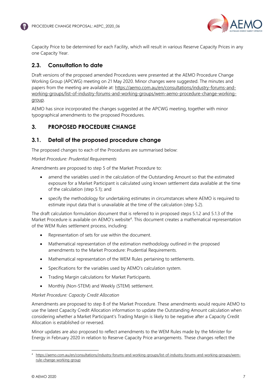

Capacity Price to be determined for each Facility, which will result in various Reserve Capacity Prices in any one Capacity Year.

#### <span id="page-7-0"></span>**2.3. Consultation to date**

Draft versions of the proposed amended Procedures were presented at the AEMO Procedure Change Working Group (APCWG) meeting on 21 May 2020. Minor changes were suggested. The minutes and papers from the meeting are available at: [https://aemo.com.au/en/consultations/industry-forums-and](https://aemo.com.au/en/consultations/industry-forums-and-working-groups/list-of-industry-forums-and-working-groups/wem-aemo-procedure-change-working-group)[working-groups/list-of-industry-forums-and-working-groups/wem-aemo-procedure-change-working](https://aemo.com.au/en/consultations/industry-forums-and-working-groups/list-of-industry-forums-and-working-groups/wem-aemo-procedure-change-working-group)[group.](https://aemo.com.au/en/consultations/industry-forums-and-working-groups/list-of-industry-forums-and-working-groups/wem-aemo-procedure-change-working-group)

AEMO has since incorporated the changes suggested at the APCWG meeting, together with minor typographical amendments to the proposed Procedures.

#### <span id="page-7-1"></span>**3. PROPOSED PROCEDURE CHANGE**

#### <span id="page-7-2"></span>**3.1. Detail of the proposed procedure change**

The proposed changes to each of the Procedures are summarised below:

#### *Market Procedure: Prudential Requirements*

Amendments are proposed to step 5 of the Market Procedure to:

- amend the variables used in the calculation of the Outstanding Amount so that the estimated exposure for a Market Participant is calculated using known settlement data available at the time of the calculation (step 5.1); and
- specify the methodology for undertaking estimates in circumstances where AEMO is required to estimate input data that is unavailable at the time of the calculation (step 5.2).

The draft calculation formulation document that is referred to in proposed steps 5.1.2 and 5.1.3 of the Market Procedure is available on AEMO's website<sup>4</sup>. This document creates a mathematical representation of the WEM Rules settlement process, including:

- Representation of sets for use within the document.
- Mathematical representation of the estimation methodology outlined in the proposed amendments to the Market Procedure: Prudential Requirements.
- Mathematical representation of the WEM Rules pertaining to settlements.
- Specifications for the variables used by AEMO's calculation system.
- Trading Margin calculations for Market Participants.
- Monthly (Non-STEM) and Weekly (STEM) settlement.

#### *Market Procedure: Capacity Credit Allocation*

Amendments are proposed to step 8 of the Market Procedure. These amendments would require AEMO to use the latest Capacity Credit Allocation information to update the Outstanding Amount calculation when considering whether a Market Participant's Trading Margin is likely to be negative after a Capacity Credit Allocation is established or reversed.

Minor updates are also proposed to reflect amendments to the WEM Rules made by the Minister for Energy in February 2020 in relation to Reserve Capacity Price arrangements. These changes reflect the

<sup>4</sup> [https://aemo.com.au/en/consultations/industry-forums-and-working-groups/list-of-industry-forums-and-working-groups/wem](https://aemo.com.au/en/consultations/industry-forums-and-working-groups/list-of-industry-forums-and-working-groups/wem-rule-change-working-group)[rule-change-working-group](https://aemo.com.au/en/consultations/industry-forums-and-working-groups/list-of-industry-forums-and-working-groups/wem-rule-change-working-group)